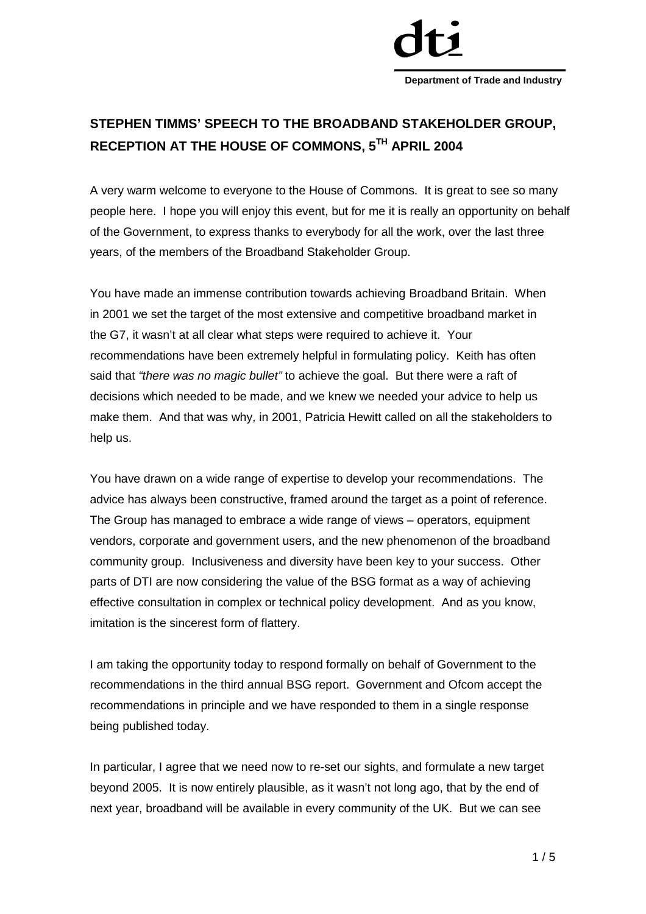

# **STEPHEN TIMMS' SPEECH TO THE BROADBAND STAKEHOLDER GROUP, RECEPTION AT THE HOUSE OF COMMONS, 5TH APRIL 2004**

A very warm welcome to everyone to the House of Commons. It is great to see so many people here. I hope you will enjoy this event, but for me it is really an opportunity on behalf of the Government, to express thanks to everybody for all the work, over the last three years, of the members of the Broadband Stakeholder Group.

You have made an immense contribution towards achieving Broadband Britain. When in 2001 we set the target of the most extensive and competitive broadband market in the G7, it wasn't at all clear what steps were required to achieve it. Your recommendations have been extremely helpful in formulating policy. Keith has often said that *"there was no magic bullet"* to achieve the goal. But there were a raft of decisions which needed to be made, and we knew we needed your advice to help us make them. And that was why, in 2001, Patricia Hewitt called on all the stakeholders to help us.

You have drawn on a wide range of expertise to develop your recommendations. The advice has always been constructive, framed around the target as a point of reference. The Group has managed to embrace a wide range of views – operators, equipment vendors, corporate and government users, and the new phenomenon of the broadband community group. Inclusiveness and diversity have been key to your success. Other parts of DTI are now considering the value of the BSG format as a way of achieving effective consultation in complex or technical policy development. And as you know, imitation is the sincerest form of flattery.

I am taking the opportunity today to respond formally on behalf of Government to the recommendations in the third annual BSG report. Government and Ofcom accept the recommendations in principle and we have responded to them in a single response being published today.

In particular, I agree that we need now to re-set our sights, and formulate a new target beyond 2005. It is now entirely plausible, as it wasn't not long ago, that by the end of next year, broadband will be available in every community of the UK. But we can see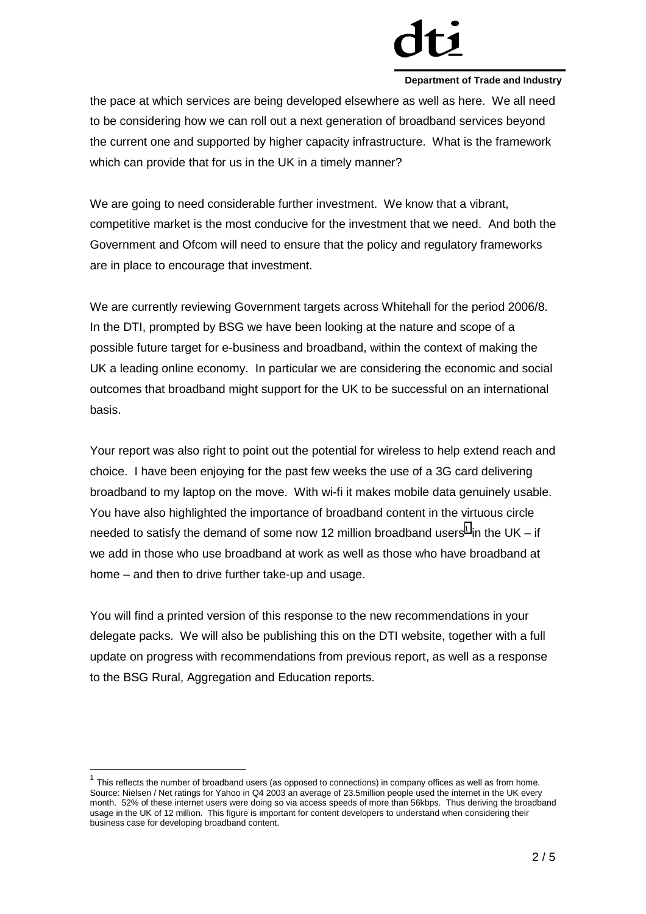the pace at which services are being developed elsewhere as well as here. We all need to be considering how we can roll out a next generation of broadband services beyond the current one and supported by higher capacity infrastructure. What is the framework which can provide that for us in the UK in a timely manner?

We are going to need considerable further investment. We know that a vibrant, competitive market is the most conducive for the investment that we need. And both the Government and Ofcom will need to ensure that the policy and regulatory frameworks are in place to encourage that investment.

We are currently reviewing Government targets across Whitehall for the period 2006/8. In the DTI, prompted by BSG we have been looking at the nature and scope of a possible future target for e-business and broadband, within the context of making the UK a leading online economy. In particular we are considering the economic and social outcomes that broadband might support for the UK to be successful on an international basis.

Your report was also right to point out the potential for wireless to help extend reach and choice. I have been enjoying for the past few weeks the use of a 3G card delivering broadband to my laptop on the move. With wi-fi it makes mobile data genuinely usable. You have also highlighted the importance of broadband content in the virtuous circle needed to satisfy the demand of some now 12 million broadband users<sup>1</sup> in the UK – if we add in those who use broadband at work as well as those who have broadband at home *–* and then to drive further take-up and usage.

You will find a printed version of this response to the new recommendations in your delegate packs. We will also be publishing this on the DTI website, together with a full update on progress with recommendations from previous report, as well as a response to the BSG Rural, Aggregation and Education reports.

l

This reflects the number of broadband users (as opposed to connections) in company offices as well as from home. Source: Nielsen / Net ratings for Yahoo in Q4 2003 an average of 23.5million people used the internet in the UK every month. 52% of these internet users were doing so via access speeds of more than 56kbps. Thus deriving the broadband usage in the UK of 12 million. This figure is important for content developers to understand when considering their business case for developing broadband content.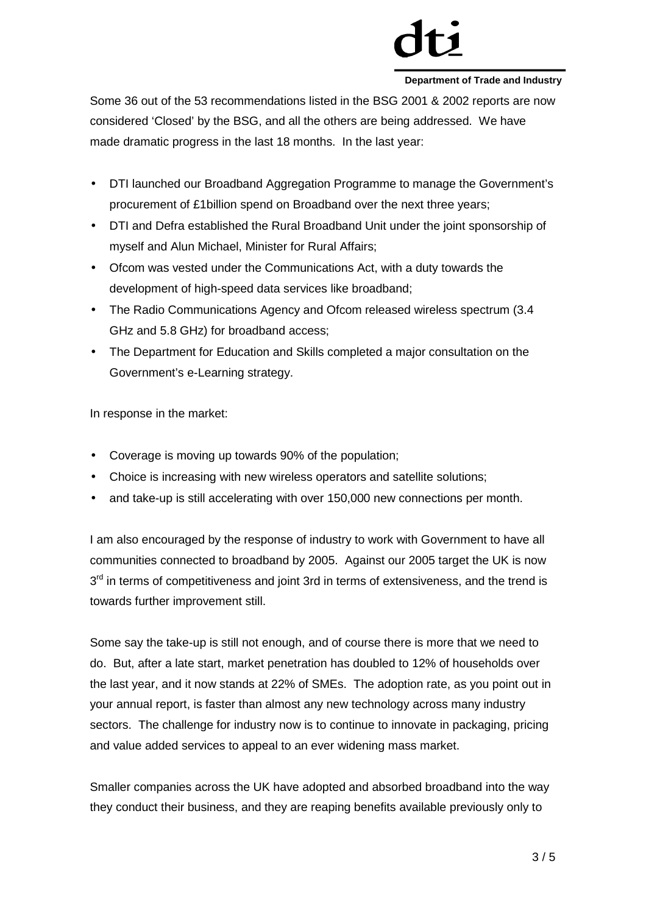Some 36 out of the 53 recommendations listed in the BSG 2001 & 2002 reports are now considered 'Closed' by the BSG, and all the others are being addressed. We have made dramatic progress in the last 18 months. In the last year:

- DTI launched our Broadband Aggregation Programme to manage the Government's procurement of £1billion spend on Broadband over the next three years;
- DTI and Defra established the Rural Broadband Unit under the joint sponsorship of myself and Alun Michael, Minister for Rural Affairs;
- Ofcom was vested under the Communications Act, with a duty towards the development of high-speed data services like broadband;
- The Radio Communications Agency and Ofcom released wireless spectrum (3.4 GHz and 5.8 GHz) for broadband access;
- The Department for Education and Skills completed a major consultation on the Government's e-Learning strategy.

In response in the market:

- Coverage is moving up towards 90% of the population;
- Choice is increasing with new wireless operators and satellite solutions;
- and take-up is still accelerating with over 150,000 new connections per month.

I am also encouraged by the response of industry to work with Government to have all communities connected to broadband by 2005. Against our 2005 target the UK is now  $3<sup>rd</sup>$  in terms of competitiveness and joint 3rd in terms of extensiveness, and the trend is towards further improvement still.

Some say the take-up is still not enough, and of course there is more that we need to do. But, after a late start, market penetration has doubled to 12% of households over the last year, and it now stands at 22% of SMEs. The adoption rate, as you point out in your annual report, is faster than almost any new technology across many industry sectors. The challenge for industry now is to continue to innovate in packaging, pricing and value added services to appeal to an ever widening mass market.

Smaller companies across the UK have adopted and absorbed broadband into the way they conduct their business, and they are reaping benefits available previously only to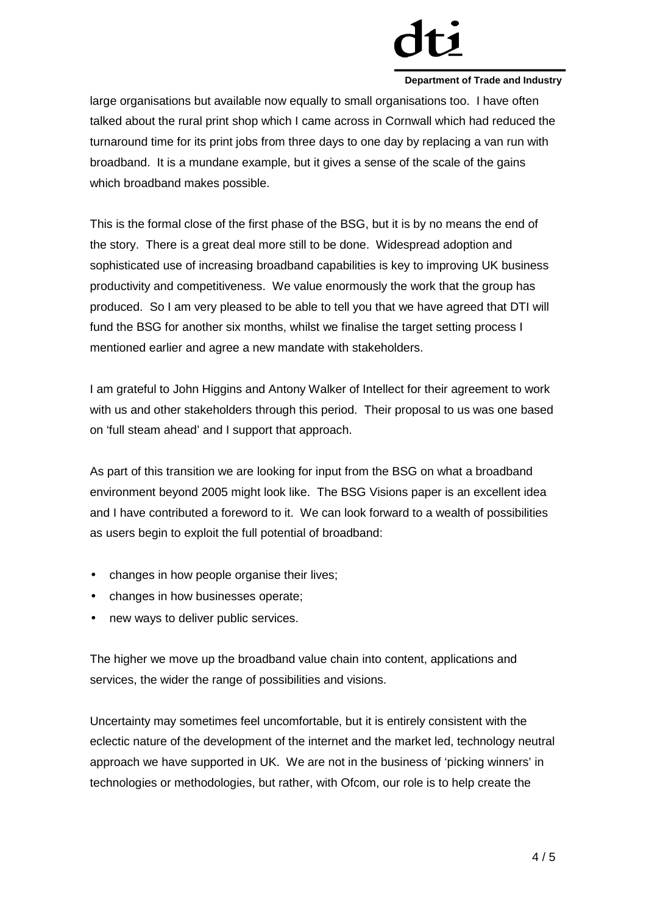large organisations but available now equally to small organisations too. I have often talked about the rural print shop which I came across in Cornwall which had reduced the turnaround time for its print jobs from three days to one day by replacing a van run with broadband. It is a mundane example, but it gives a sense of the scale of the gains which broadband makes possible.

This is the formal close of the first phase of the BSG, but it is by no means the end of the story. There is a great deal more still to be done. Widespread adoption and sophisticated use of increasing broadband capabilities is key to improving UK business productivity and competitiveness. We value enormously the work that the group has produced. So I am very pleased to be able to tell you that we have agreed that DTI will fund the BSG for another six months, whilst we finalise the target setting process I mentioned earlier and agree a new mandate with stakeholders.

I am grateful to John Higgins and Antony Walker of Intellect for their agreement to work with us and other stakeholders through this period. Their proposal to us was one based on 'full steam ahead' and I support that approach.

As part of this transition we are looking for input from the BSG on what a broadband environment beyond 2005 might look like. The BSG Visions paper is an excellent idea and I have contributed a foreword to it. We can look forward to a wealth of possibilities as users begin to exploit the full potential of broadband:

- changes in how people organise their lives;
- changes in how businesses operate;
- new ways to deliver public services.

The higher we move up the broadband value chain into content, applications and services, the wider the range of possibilities and visions.

Uncertainty may sometimes feel uncomfortable, but it is entirely consistent with the eclectic nature of the development of the internet and the market led, technology neutral approach we have supported in UK. We are not in the business of 'picking winners' in technologies or methodologies, but rather, with Ofcom, our role is to help create the